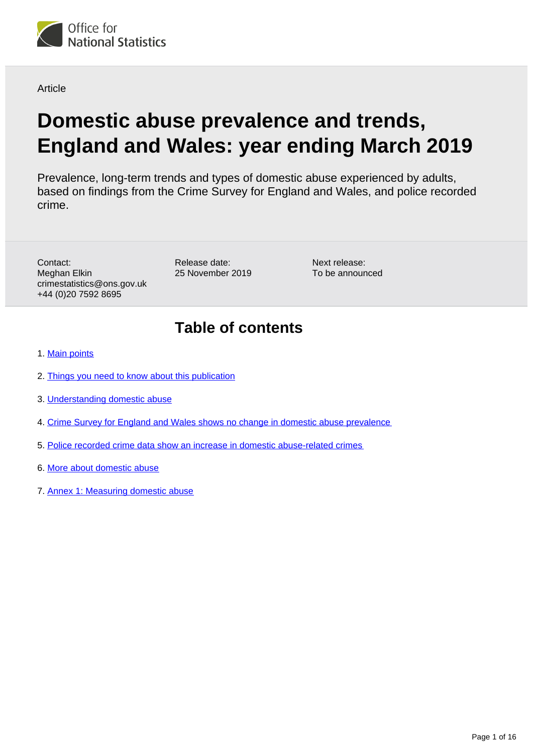

**Article** 

# **Domestic abuse prevalence and trends, England and Wales: year ending March 2019**

Prevalence, long-term trends and types of domestic abuse experienced by adults, based on findings from the Crime Survey for England and Wales, and police recorded crime.

Contact: Meghan Elkin crimestatistics@ons.gov.uk +44 (0)20 7592 8695

Release date: 25 November 2019 Next release: To be announced

# **Table of contents**

- 1. [Main points](#page-1-0)
- 2. [Things you need to know about this publication](#page-1-1)
- 3. [Understanding domestic abuse](#page-2-0)
- 4. [Crime Survey for England and Wales shows no change in domestic abuse prevalence](#page-3-0)
- 5. [Police recorded crime data show an increase in domestic abuse-related crimes](#page-10-0)
- 6. [More about domestic abuse](#page-13-0)
- 7. [Annex 1: Measuring domestic abuse](#page-13-1)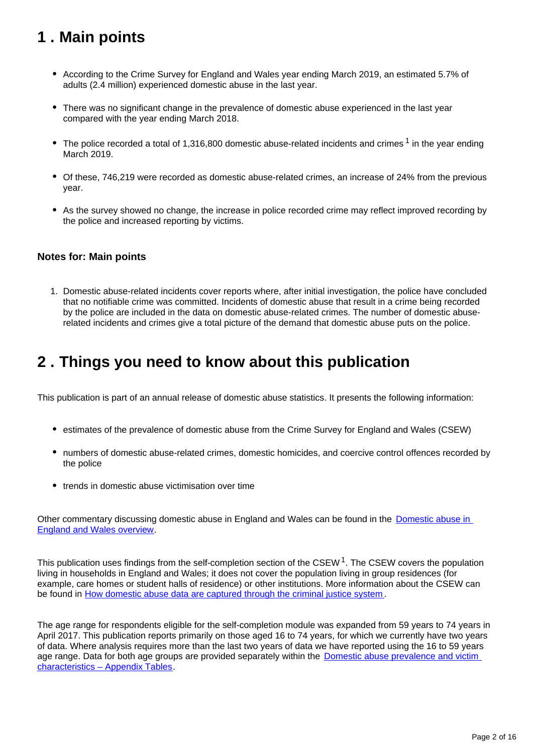# <span id="page-1-0"></span>**1 . Main points**

- According to the Crime Survey for England and Wales year ending March 2019, an estimated 5.7% of adults (2.4 million) experienced domestic abuse in the last year.
- There was no significant change in the prevalence of domestic abuse experienced in the last year compared with the year ending March 2018.
- The police recorded a total of 1,316,800 domestic abuse-related incidents and crimes  $1$  in the year ending March 2019.
- Of these, 746,219 were recorded as domestic abuse-related crimes, an increase of 24% from the previous year.
- As the survey showed no change, the increase in police recorded crime may reflect improved recording by the police and increased reporting by victims.

### **Notes for: Main points**

1. Domestic abuse-related incidents cover reports where, after initial investigation, the police have concluded that no notifiable crime was committed. Incidents of domestic abuse that result in a crime being recorded by the police are included in the data on domestic abuse-related crimes. The number of domestic abuserelated incidents and crimes give a total picture of the demand that domestic abuse puts on the police.

# <span id="page-1-1"></span>**2 . Things you need to know about this publication**

This publication is part of an annual release of domestic abuse statistics. It presents the following information:

- estimates of the prevalence of domestic abuse from the Crime Survey for England and Wales (CSEW)
- numbers of domestic abuse-related crimes, domestic homicides, and coercive control offences recorded by the police
- trends in domestic abuse victimisation over time

Other commentary discussing domestic abuse in England and Wales can be found in the [Domestic abuse in](https://www.ons.gov.uk/peoplepopulationandcommunity/crimeandjustice/bulletins/domesticabuseinenglandandwalesoverview/november2019)  [England and Wales overview](https://www.ons.gov.uk/peoplepopulationandcommunity/crimeandjustice/bulletins/domesticabuseinenglandandwalesoverview/november2019).

This publication uses findings from the self-completion section of the CSEW<sup>1</sup>. The CSEW covers the population living in households in England and Wales; it does not cover the population living in group residences (for example, care homes or student halls of residence) or other institutions. More information about the CSEW can be found in [How domestic abuse data are captured through the criminal justice system](https://www.ons.gov.uk/peoplepopulationandcommunity/crimeandjustice/articles/howdomesticabusedataarecapturedthroughthecriminaljusticesystem/2019-11-25) .

The age range for respondents eligible for the self-completion module was expanded from 59 years to 74 years in April 2017. This publication reports primarily on those aged 16 to 74 years, for which we currently have two years of data. Where analysis requires more than the last two years of data we have reported using the 16 to 59 years age range. Data for both age groups are provided separately within the **Domestic abuse prevalence and victim** [characteristics – Appendix Tables](https://www.ons.gov.uk/peoplepopulationandcommunity/crimeandjustice/datasets/domesticabuseprevalenceandvictimcharacteristicsappendixtables).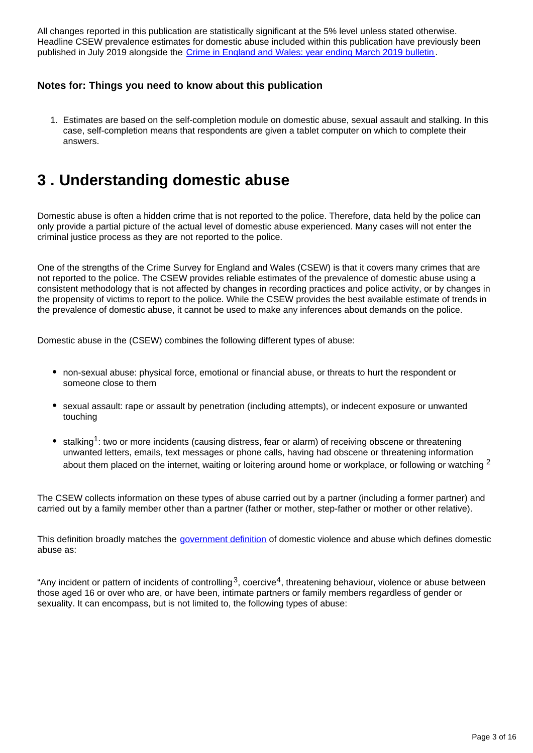All changes reported in this publication are statistically significant at the 5% level unless stated otherwise. Headline CSEW prevalence estimates for domestic abuse included within this publication have previously been published in July 2019 alongside the [Crime in England and Wales: year ending March 2019 bulletin](https://www.ons.gov.uk/peoplepopulationandcommunity/crimeandjustice/bulletins/crimeinenglandandwales/yearendingmarch2019) .

### **Notes for: Things you need to know about this publication**

1. Estimates are based on the self-completion module on domestic abuse, sexual assault and stalking. In this case, self-completion means that respondents are given a tablet computer on which to complete their answers.

# <span id="page-2-0"></span>**3 . Understanding domestic abuse**

Domestic abuse is often a hidden crime that is not reported to the police. Therefore, data held by the police can only provide a partial picture of the actual level of domestic abuse experienced. Many cases will not enter the criminal justice process as they are not reported to the police.

One of the strengths of the Crime Survey for England and Wales (CSEW) is that it covers many crimes that are not reported to the police. The CSEW provides reliable estimates of the prevalence of domestic abuse using a consistent methodology that is not affected by changes in recording practices and police activity, or by changes in the propensity of victims to report to the police. While the CSEW provides the best available estimate of trends in the prevalence of domestic abuse, it cannot be used to make any inferences about demands on the police.

Domestic abuse in the (CSEW) combines the following different types of abuse:

- non-sexual abuse: physical force, emotional or financial abuse, or threats to hurt the respondent or someone close to them
- sexual assault: rape or assault by penetration (including attempts), or indecent exposure or unwanted touching
- $\bullet$  stalking<sup>1</sup>: two or more incidents (causing distress, fear or alarm) of receiving obscene or threatening unwanted letters, emails, text messages or phone calls, having had obscene or threatening information about them placed on the internet, waiting or loitering around home or workplace, or following or watching <sup>2</sup>

The CSEW collects information on these types of abuse carried out by a partner (including a former partner) and carried out by a family member other than a partner (father or mother, step-father or mother or other relative).

This definition broadly matches the [government definition](https://www.gov.uk/government/news/new-definition-of-domestic-violence) of domestic violence and abuse which defines domestic abuse as:

"Any incident or pattern of incidents of controlling<sup>3</sup>, coercive<sup>4</sup>, threatening behaviour, violence or abuse between those aged 16 or over who are, or have been, intimate partners or family members regardless of gender or sexuality. It can encompass, but is not limited to, the following types of abuse: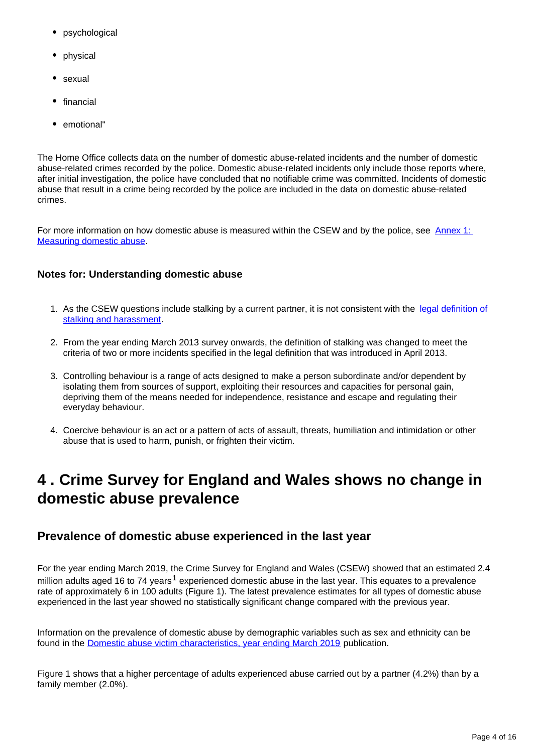- psychological
- physical
- sexual
- financial
- emotional"

The Home Office collects data on the number of domestic abuse-related incidents and the number of domestic abuse-related crimes recorded by the police. Domestic abuse-related incidents only include those reports where, after initial investigation, the police have concluded that no notifiable crime was committed. Incidents of domestic abuse that result in a crime being recorded by the police are included in the data on domestic abuse-related crimes.

For more information on how domestic abuse is measured within the CSEW and by the police, see Annex 1: [Measuring domestic abuse](https://www.ons.gov.uk/peoplepopulationandcommunity/crimeandjustice/articles/domesticabuseprevalenceandtrendsenglandandwales/yearendingmarch2019#annex-1-measuring-domestic-abuse).

### **Notes for: Understanding domestic abuse**

- 1. As the CSEW questions include stalking by a current partner, it is not consistent with the legal definition of [stalking and harassment](https://www.cps.gov.uk/legal-guidance/stalking-and-harassment).
- 2. From the year ending March 2013 survey onwards, the definition of stalking was changed to meet the criteria of two or more incidents specified in the legal definition that was introduced in April 2013.
- 3. Controlling behaviour is a range of acts designed to make a person subordinate and/or dependent by isolating them from sources of support, exploiting their resources and capacities for personal gain, depriving them of the means needed for independence, resistance and escape and regulating their everyday behaviour.
- 4. Coercive behaviour is an act or a pattern of acts of assault, threats, humiliation and intimidation or other abuse that is used to harm, punish, or frighten their victim.

# <span id="page-3-0"></span>**4 . Crime Survey for England and Wales shows no change in domestic abuse prevalence**

### **Prevalence of domestic abuse experienced in the last year**

For the year ending March 2019, the Crime Survey for England and Wales (CSEW) showed that an estimated 2.4 million adults aged 16 to 74 years<sup>1</sup> experienced domestic abuse in the last year. This equates to a prevalence rate of approximately 6 in 100 adults (Figure 1). The latest prevalence estimates for all types of domestic abuse experienced in the last year showed no statistically significant change compared with the previous year.

Information on the prevalence of domestic abuse by demographic variables such as sex and ethnicity can be found in the [Domestic abuse victim characteristics, year ending March 2019](https://www.ons.gov.uk/peoplepopulationandcommunity/crimeandjustice/articles/domesticabusevictimcharacteristicsenglandandwales/yearendingmarch2019) publication.

Figure 1 shows that a higher percentage of adults experienced abuse carried out by a partner (4.2%) than by a family member (2.0%).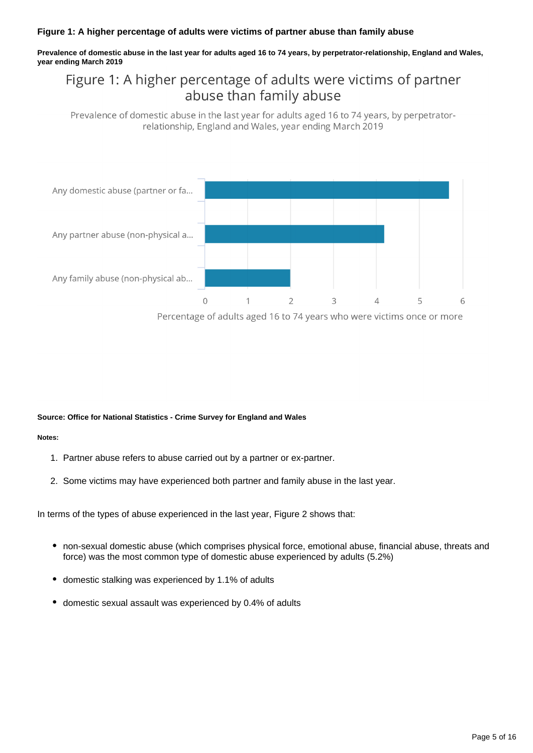### **Figure 1: A higher percentage of adults were victims of partner abuse than family abuse**

**Prevalence of domestic abuse in the last year for adults aged 16 to 74 years, by perpetrator-relationship, England and Wales, year ending March 2019**

# Figure 1: A higher percentage of adults were victims of partner abuse than family abuse

Prevalence of domestic abuse in the last year for adults aged 16 to 74 years, by perpetratorrelationship, England and Wales, year ending March 2019



Percentage of adults aged 16 to 74 years who were victims once or more

#### **Source: Office for National Statistics - Crime Survey for England and Wales**

#### **Notes:**

- 1. Partner abuse refers to abuse carried out by a partner or ex-partner.
- 2. Some victims may have experienced both partner and family abuse in the last year.

In terms of the types of abuse experienced in the last year, Figure 2 shows that:

- non-sexual domestic abuse (which comprises physical force, emotional abuse, financial abuse, threats and force) was the most common type of domestic abuse experienced by adults (5.2%)
- domestic stalking was experienced by 1.1% of adults
- domestic sexual assault was experienced by 0.4% of adults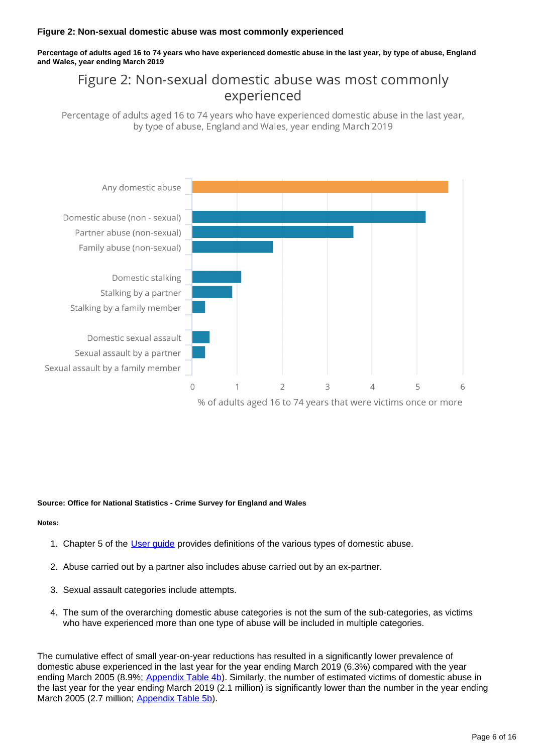#### **Figure 2: Non-sexual domestic abuse was most commonly experienced**

**Percentage of adults aged 16 to 74 years who have experienced domestic abuse in the last year, by type of abuse, England and Wales, year ending March 2019**

# Figure 2: Non-sexual domestic abuse was most commonly experienced

Percentage of adults aged 16 to 74 years who have experienced domestic abuse in the last year, by type of abuse, England and Wales, year ending March 2019



#### **Source: Office for National Statistics - Crime Survey for England and Wales**

#### **Notes:**

- 1. Chapter 5 of the [User guide](https://www.ons.gov.uk/peoplepopulationandcommunity/crimeandjustice/methodologies/userguidetocrimestatisticsforenglandandwales) provides definitions of the various types of domestic abuse.
- 2. Abuse carried out by a partner also includes abuse carried out by an ex-partner.
- 3. Sexual assault categories include attempts.
- 4. The sum of the overarching domestic abuse categories is not the sum of the sub-categories, as victims who have experienced more than one type of abuse will be included in multiple categories.

The cumulative effect of small year-on-year reductions has resulted in a significantly lower prevalence of domestic abuse experienced in the last year for the year ending March 2019 (6.3%) compared with the year ending March 2005 (8.9%; [Appendix Table 4b\)](https://www.ons.gov.uk/peoplepopulationandcommunity/crimeandjustice/datasets/domesticabuseprevalenceandvictimcharacteristicsappendixtables). Similarly, the number of estimated victims of domestic abuse in the last year for the year ending March 2019 (2.1 million) is significantly lower than the number in the year ending March 2005 (2.7 million; [Appendix Table 5b](https://www.ons.gov.uk/peoplepopulationandcommunity/crimeandjustice/datasets/domesticabuseprevalenceandvictimcharacteristicsappendixtables)).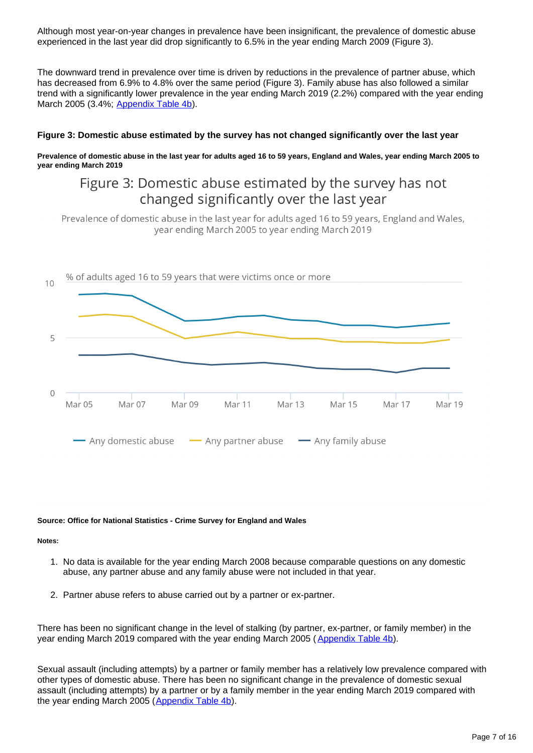Although most year-on-year changes in prevalence have been insignificant, the prevalence of domestic abuse experienced in the last year did drop significantly to 6.5% in the year ending March 2009 (Figure 3).

The downward trend in prevalence over time is driven by reductions in the prevalence of partner abuse, which has decreased from 6.9% to 4.8% over the same period (Figure 3). Family abuse has also followed a similar trend with a significantly lower prevalence in the year ending March 2019 (2.2%) compared with the year ending March 2005 (3.4%; [Appendix Table 4b\)](https://www.ons.gov.uk/peoplepopulationandcommunity/crimeandjustice/datasets/domesticabuseprevalenceandvictimcharacteristicsappendixtables).

#### **Figure 3: Domestic abuse estimated by the survey has not changed significantly over the last year**

**Prevalence of domestic abuse in the last year for adults aged 16 to 59 years, England and Wales, year ending March 2005 to year ending March 2019**

# Figure 3: Domestic abuse estimated by the survey has not changed significantly over the last year

Prevalence of domestic abuse in the last year for adults aged 16 to 59 years, England and Wales, year ending March 2005 to year ending March 2019



#### **Source: Office for National Statistics - Crime Survey for England and Wales**

#### **Notes:**

- 1. No data is available for the year ending March 2008 because comparable questions on any domestic abuse, any partner abuse and any family abuse were not included in that year.
- 2. Partner abuse refers to abuse carried out by a partner or ex-partner.

There has been no significant change in the level of stalking (by partner, ex-partner, or family member) in the year ending March 2019 compared with the year ending March 2005 ([Appendix Table 4b](https://www.ons.gov.uk/peoplepopulationandcommunity/crimeandjustice/datasets/domesticabuseprevalenceandvictimcharacteristicsappendixtables)).

Sexual assault (including attempts) by a partner or family member has a relatively low prevalence compared with other types of domestic abuse. There has been no significant change in the prevalence of domestic sexual assault (including attempts) by a partner or by a family member in the year ending March 2019 compared with the year ending March 2005 ([Appendix Table 4b](https://www.ons.gov.uk/peoplepopulationandcommunity/crimeandjustice/datasets/domesticabuseprevalenceandvictimcharacteristicsappendixtables)).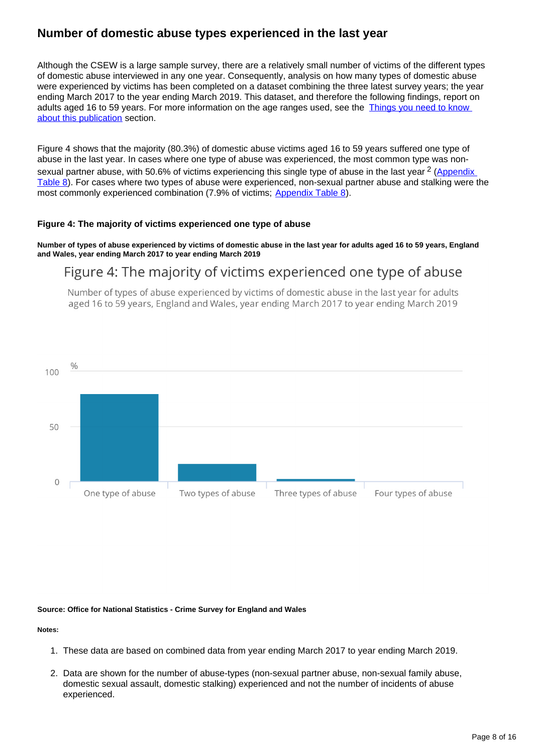## **Number of domestic abuse types experienced in the last year**

Although the CSEW is a large sample survey, there are a relatively small number of victims of the different types of domestic abuse interviewed in any one year. Consequently, analysis on how many types of domestic abuse were experienced by victims has been completed on a dataset combining the three latest survey years; the year ending March 2017 to the year ending March 2019. This dataset, and therefore the following findings, report on adults aged 16 to 59 years. For more information on the age ranges used, see the [Things you need to know](http://%20%20https://www.ons.gov.uk/peoplepopulationandcommunity/crimeandjustice/articles/domesticabuseprevalenceandtrendsenglandandwales/yearendingmarch2019#things-you-need-to-know-about-this-publication)  [about this publication](http://%20%20https://www.ons.gov.uk/peoplepopulationandcommunity/crimeandjustice/articles/domesticabuseprevalenceandtrendsenglandandwales/yearendingmarch2019#things-you-need-to-know-about-this-publication) section.

Figure 4 shows that the majority (80.3%) of domestic abuse victims aged 16 to 59 years suffered one type of abuse in the last year. In cases where one type of abuse was experienced, the most common type was nonsexual partner abuse, with 50.6% of victims experiencing this single type of abuse in the last year <sup>2</sup> (Appendix [Table 8\)](https://www.ons.gov.uk/peoplepopulationandcommunity/crimeandjustice/datasets/domesticabuseprevalenceandvictimcharacteristicsappendixtables). For cases where two types of abuse were experienced, non-sexual partner abuse and stalking were the most commonly experienced combination (7.9% of victims; [Appendix Table 8](https://www.ons.gov.uk/peoplepopulationandcommunity/crimeandjustice/datasets/domesticabuseprevalenceandvictimcharacteristicsappendixtables)).

### **Figure 4: The majority of victims experienced one type of abuse**

**Number of types of abuse experienced by victims of domestic abuse in the last year for adults aged 16 to 59 years, England and Wales, year ending March 2017 to year ending March 2019**

# Figure 4: The majority of victims experienced one type of abuse

Number of types of abuse experienced by victims of domestic abuse in the last year for adults aged 16 to 59 years, England and Wales, year ending March 2017 to year ending March 2019



#### **Source: Office for National Statistics - Crime Survey for England and Wales**

**Notes:**

- 1. These data are based on combined data from year ending March 2017 to year ending March 2019.
- 2. Data are shown for the number of abuse-types (non-sexual partner abuse, non-sexual family abuse, domestic sexual assault, domestic stalking) experienced and not the number of incidents of abuse experienced.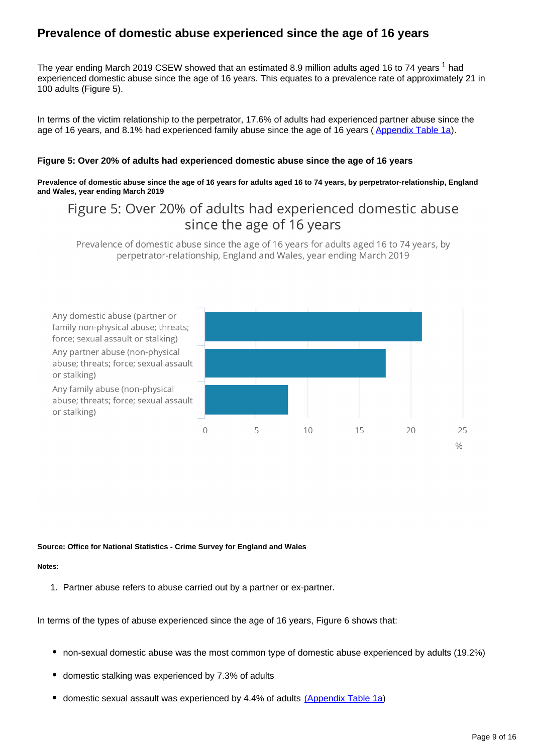## **Prevalence of domestic abuse experienced since the age of 16 years**

The year ending March 2019 CSEW showed that an estimated 8.9 million adults aged 16 to 74 years <sup>1</sup> had experienced domestic abuse since the age of 16 years. This equates to a prevalence rate of approximately 21 in 100 adults (Figure 5).

In terms of the victim relationship to the perpetrator, 17.6% of adults had experienced partner abuse since the age of 16 years, and 8.1% had experienced family abuse since the age of 16 years ( [Appendix Table 1a](https://www.ons.gov.uk/peoplepopulationandcommunity/crimeandjustice/datasets/domesticabuseprevalenceandvictimcharacteristicsappendixtables)).

### **Figure 5: Over 20% of adults had experienced domestic abuse since the age of 16 years**

**Prevalence of domestic abuse since the age of 16 years for adults aged 16 to 74 years, by perpetrator-relationship, England and Wales, year ending March 2019**

# Figure 5: Over 20% of adults had experienced domestic abuse since the age of 16 years

Prevalence of domestic abuse since the age of 16 years for adults aged 16 to 74 years, by perpetrator-relationship, England and Wales, year ending March 2019



#### **Source: Office for National Statistics - Crime Survey for England and Wales**

#### **Notes:**

1. Partner abuse refers to abuse carried out by a partner or ex-partner.

In terms of the types of abuse experienced since the age of 16 years, Figure 6 shows that:

- non-sexual domestic abuse was the most common type of domestic abuse experienced by adults (19.2%)
- domestic stalking was experienced by 7.3% of adults
- domestic sexual assault was experienced by 4.4% of adults [\(Appendix Table 1a\)](https://www.ons.gov.uk/peoplepopulationandcommunity/crimeandjustice/datasets/domesticabuseprevalenceandvictimcharacteristicsappendixtables)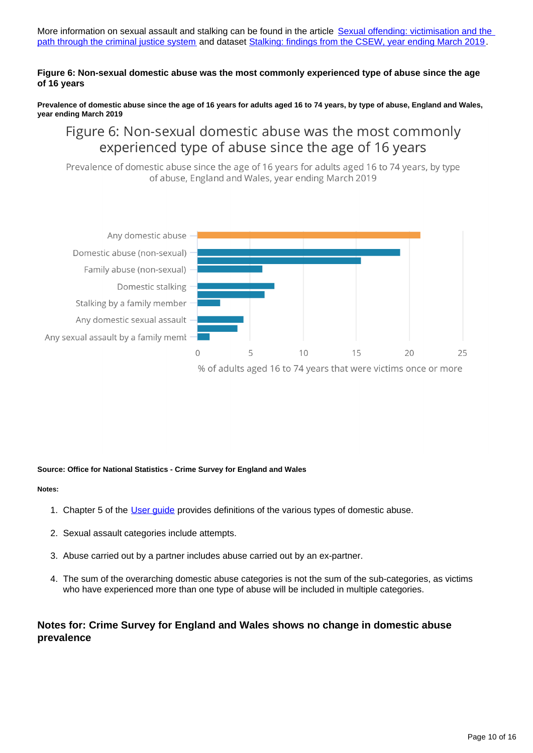More information on sexual assault and stalking can be found in the article Sexual offending: victimisation and the [path through the criminal justice system](http://www.ons.gov.uk/peoplepopulationandcommunity/crimeandjustice/articles/sexualoffencesinenglandandwales/yearendingmarch2017) and dataset [Stalking: findings from the CSEW, year ending March 2019.](https://www.ons.gov.uk/peoplepopulationandcommunity/crimeandjustice/datasets/stalkingfindingsfromthecrimesurveyforenglandandwales)

### **Figure 6: Non-sexual domestic abuse was the most commonly experienced type of abuse since the age of 16 years**

**Prevalence of domestic abuse since the age of 16 years for adults aged 16 to 74 years, by type of abuse, England and Wales, year ending March 2019**

# Figure 6: Non-sexual domestic abuse was the most commonly experienced type of abuse since the age of 16 years

Prevalence of domestic abuse since the age of 16 years for adults aged 16 to 74 years, by type of abuse, England and Wales, year ending March 2019



% of adults aged 16 to 74 years that were victims once or more

#### **Source: Office for National Statistics - Crime Survey for England and Wales**

#### **Notes:**

- 1. Chapter 5 of the [User guide](https://www.ons.gov.uk/peoplepopulationandcommunity/crimeandjustice/methodologies/userguidetocrimestatisticsforenglandandwales) provides definitions of the various types of domestic abuse.
- 2. Sexual assault categories include attempts.
- 3. Abuse carried out by a partner includes abuse carried out by an ex-partner.
- 4. The sum of the overarching domestic abuse categories is not the sum of the sub-categories, as victims who have experienced more than one type of abuse will be included in multiple categories.

### **Notes for: Crime Survey for England and Wales shows no change in domestic abuse prevalence**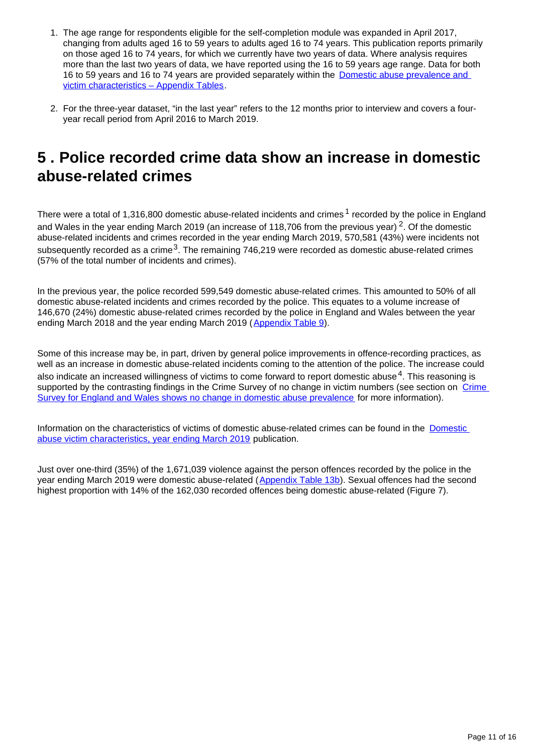- 1. The age range for respondents eligible for the self-completion module was expanded in April 2017, changing from adults aged 16 to 59 years to adults aged 16 to 74 years. This publication reports primarily on those aged 16 to 74 years, for which we currently have two years of data. Where analysis requires more than the last two years of data, we have reported using the 16 to 59 years age range. Data for both 16 to 59 years and 16 to 74 years are provided separately within the [Domestic abuse prevalence and](https://www.ons.gov.uk/peoplepopulationandcommunity/crimeandjustice/datasets/domesticabuseprevalenceandvictimcharacteristicsappendixtables)  [victim characteristics – Appendix Tables.](https://www.ons.gov.uk/peoplepopulationandcommunity/crimeandjustice/datasets/domesticabuseprevalenceandvictimcharacteristicsappendixtables)
- 2. For the three-year dataset, "in the last year" refers to the 12 months prior to interview and covers a fouryear recall period from April 2016 to March 2019.

# <span id="page-10-0"></span>**5 . Police recorded crime data show an increase in domestic abuse-related crimes**

There were a total of 1,316,800 domestic abuse-related incidents and crimes  $1$  recorded by the police in England and Wales in the year ending March 2019 (an increase of 118,706 from the previous year)  $2$ . Of the domestic abuse-related incidents and crimes recorded in the year ending March 2019, 570,581 (43%) were incidents not subsequently recorded as a crime<sup>3</sup>. The remaining 746,219 were recorded as domestic abuse-related crimes (57% of the total number of incidents and crimes).

In the previous year, the police recorded 599,549 domestic abuse-related crimes. This amounted to 50% of all domestic abuse-related incidents and crimes recorded by the police. This equates to a volume increase of 146,670 (24%) domestic abuse-related crimes recorded by the police in England and Wales between the year ending March 2018 and the year ending March 2019 ([Appendix Table 9](https://www.ons.gov.uk/peoplepopulationandcommunity/crimeandjustice/datasets/domesticabuseprevalenceandvictimcharacteristicsappendixtables)).

Some of this increase may be, in part, driven by general police improvements in offence-recording practices, as well as an increase in domestic abuse-related incidents coming to the attention of the police. The increase could also indicate an increased willingness of victims to come forward to report domestic abuse  $4$ . This reasoning is supported by the contrasting findings in the [Crime](https://www.ons.gov.uk/peoplepopulationandcommunity/crimeandjustice/articles/domesticabuseprevalenceandtrendsenglandandwales/yearendingmarch2019#crime-survey-for-england-and-wales-shows-no-change-in-domestic-abuse-prevalence) Survey of no change in victim numbers (see section on Crime [Survey for England and Wales shows no change in domestic abuse prevalence](https://www.ons.gov.uk/peoplepopulationandcommunity/crimeandjustice/articles/domesticabuseprevalenceandtrendsenglandandwales/yearendingmarch2019#crime-survey-for-england-and-wales-shows-no-change-in-domestic-abuse-prevalence) for more information).

Information on the characteristics of victims of domestic abuse-related crimes can be found in the [Domestic](https://www.ons.gov.uk/peoplepopulationandcommunity/crimeandjustice/articles/domesticabusevictimcharacteristicsenglandandwales/yearendingmarch2019)  [abuse victim characteristics, year ending March 2019](https://www.ons.gov.uk/peoplepopulationandcommunity/crimeandjustice/articles/domesticabusevictimcharacteristicsenglandandwales/yearendingmarch2019) publication.

Just over one-third (35%) of the 1,671,039 violence against the person offences recorded by the police in the year ending March 2019 were domestic abuse-related ([Appendix Table 13b\)](https://www.ons.gov.uk/peoplepopulationandcommunity/crimeandjustice/datasets/domesticabuseprevalenceandvictimcharacteristicsappendixtables). Sexual offences had the second highest proportion with 14% of the 162,030 recorded offences being domestic abuse-related (Figure 7).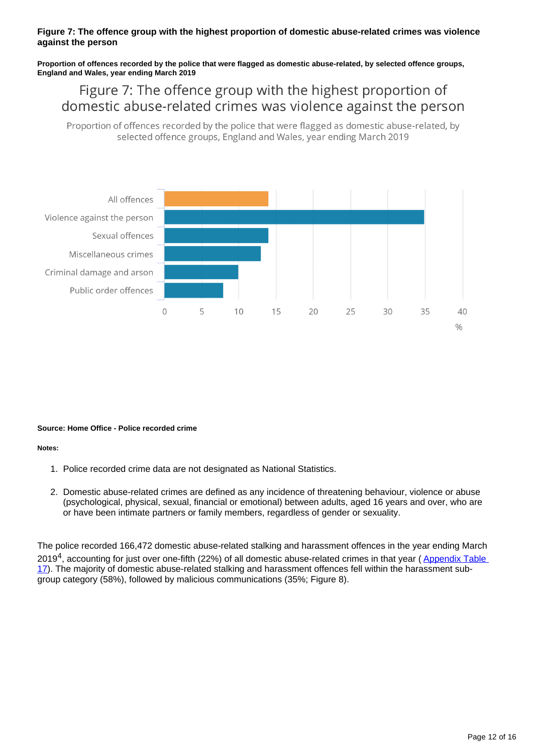### **Figure 7: The offence group with the highest proportion of domestic abuse-related crimes was violence against the person**

#### **Proportion of offences recorded by the police that were flagged as domestic abuse-related, by selected offence groups, England and Wales, year ending March 2019**

# Figure 7: The offence group with the highest proportion of domestic abuse-related crimes was violence against the person

Proportion of offences recorded by the police that were flagged as domestic abuse-related, by selected offence groups, England and Wales, year ending March 2019



#### **Source: Home Office - Police recorded crime**

#### **Notes:**

- 1. Police recorded crime data are not designated as National Statistics.
- 2. Domestic abuse-related crimes are defined as any incidence of threatening behaviour, violence or abuse (psychological, physical, sexual, financial or emotional) between adults, aged 16 years and over, who are or have been intimate partners or family members, regardless of gender or sexuality.

The police recorded 166,472 domestic abuse-related stalking and harassment offences in the year ending March 2019<sup>4</sup>, accounting for just over one-fifth (22%) of all domestic abuse-related crimes in that year (Appendix Table [17](https://www.ons.gov.uk/peoplepopulationandcommunity/crimeandjustice/datasets/domesticabuseprevalenceandvictimcharacteristicsappendixtables)). The majority of domestic abuse-related stalking and harassment offences fell within the harassment subgroup category (58%), followed by malicious communications (35%; Figure 8).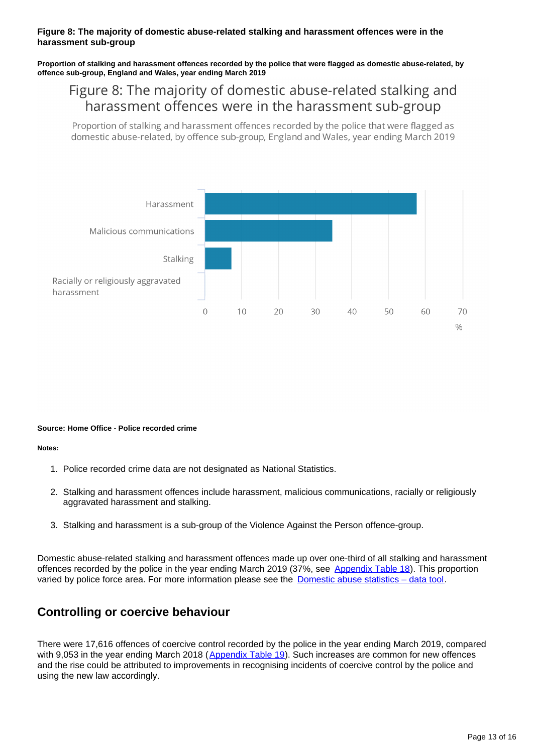### **Figure 8: The majority of domestic abuse-related stalking and harassment offences were in the harassment sub-group**

**Proportion of stalking and harassment offences recorded by the police that were flagged as domestic abuse-related, by offence sub-group, England and Wales, year ending March 2019**

# Figure 8: The majority of domestic abuse-related stalking and harassment offences were in the harassment sub-group

Proportion of stalking and harassment offences recorded by the police that were flagged as domestic abuse-related, by offence sub-group, England and Wales, year ending March 2019



**Source: Home Office - Police recorded crime**

#### **Notes:**

- 1. Police recorded crime data are not designated as National Statistics.
- 2. Stalking and harassment offences include harassment, malicious communications, racially or religiously aggravated harassment and stalking.
- 3. Stalking and harassment is a sub-group of the Violence Against the Person offence-group.

Domestic abuse-related stalking and harassment offences made up over one-third of all stalking and harassment offences recorded by the police in the year ending March 2019 (37%, see [Appendix Table 18](https://www.ons.gov.uk/peoplepopulationandcommunity/crimeandjustice/datasets/domesticabuseprevalenceandvictimcharacteristicsappendixtables)). This proportion varied by police force area. For more information please see the [Domestic abuse statistics – data tool.](https://www.ons.gov.uk/peoplepopulationandcommunity/crimeandjustice/datasets/domesticabuseinenglandandwalesdatatool)

## **Controlling or coercive behaviour**

There were 17,616 offences of coercive control recorded by the police in the year ending March 2019, compared with 9,053 in the year ending March 2018 ([Appendix Table 19](https://www.ons.gov.uk/peoplepopulationandcommunity/crimeandjustice/datasets/domesticabuseprevalenceandvictimcharacteristicsappendixtables)). Such increases are common for new offences and the rise could be attributed to improvements in recognising incidents of coercive control by the police and using the new law accordingly.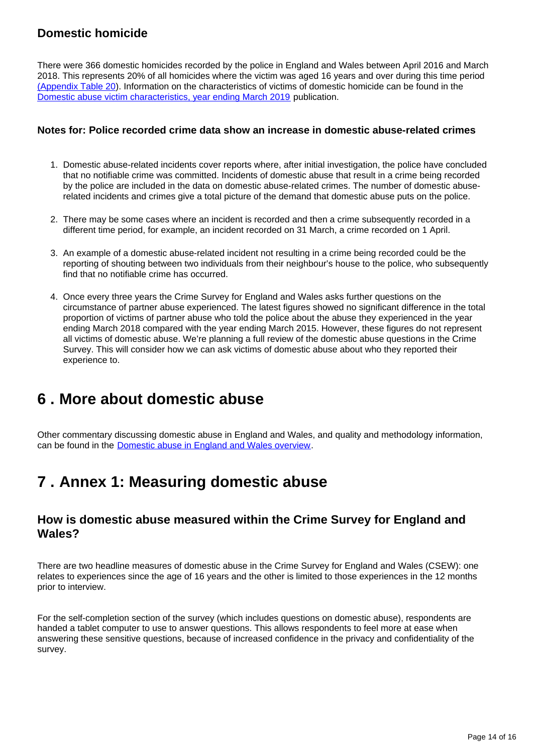## **Domestic homicide**

There were 366 domestic homicides recorded by the police in England and Wales between April 2016 and March 2018. This represents 20% of all homicides where the victim was aged 16 years and over during this time period [\(Appendix Table 20](https://www.ons.gov.uk/peoplepopulationandcommunity/crimeandjustice/datasets/domesticabuseprevalenceandvictimcharacteristicsappendixtables)). Information on the characteristics of victims of domestic homicide can be found in the [Domestic abuse victim characteristics, year ending March 2019](https://www.ons.gov.uk/peoplepopulationandcommunity/crimeandjustice/articles/domesticabusevictimcharacteristicsenglandandwales/yearendingmarch2019) publication.

### **Notes for: Police recorded crime data show an increase in domestic abuse-related crimes**

- 1. Domestic abuse-related incidents cover reports where, after initial investigation, the police have concluded that no notifiable crime was committed. Incidents of domestic abuse that result in a crime being recorded by the police are included in the data on domestic abuse-related crimes. The number of domestic abuserelated incidents and crimes give a total picture of the demand that domestic abuse puts on the police.
- 2. There may be some cases where an incident is recorded and then a crime subsequently recorded in a different time period, for example, an incident recorded on 31 March, a crime recorded on 1 April.
- 3. An example of a domestic abuse-related incident not resulting in a crime being recorded could be the reporting of shouting between two individuals from their neighbour's house to the police, who subsequently find that no notifiable crime has occurred.
- 4. Once every three years the Crime Survey for England and Wales asks further questions on the circumstance of partner abuse experienced. The latest figures showed no significant difference in the total proportion of victims of partner abuse who told the police about the abuse they experienced in the year ending March 2018 compared with the year ending March 2015. However, these figures do not represent all victims of domestic abuse. We're planning a full review of the domestic abuse questions in the Crime Survey. This will consider how we can ask victims of domestic abuse about who they reported their experience to.

# <span id="page-13-0"></span>**6 . More about domestic abuse**

Other commentary discussing domestic abuse in England and Wales, and quality and methodology information, can be found in the [Domestic abuse in England and Wales overview.](https://www.ons.gov.uk/peoplepopulationandcommunity/crimeandjustice/bulletins/domesticabuseinenglandandwalesoverview/november2019)

# <span id="page-13-1"></span>**7 . Annex 1: Measuring domestic abuse**

## **How is domestic abuse measured within the Crime Survey for England and Wales?**

There are two headline measures of domestic abuse in the Crime Survey for England and Wales (CSEW): one relates to experiences since the age of 16 years and the other is limited to those experiences in the 12 months prior to interview.

For the self-completion section of the survey (which includes questions on domestic abuse), respondents are handed a tablet computer to use to answer questions. This allows respondents to feel more at ease when answering these sensitive questions, because of increased confidence in the privacy and confidentiality of the survey.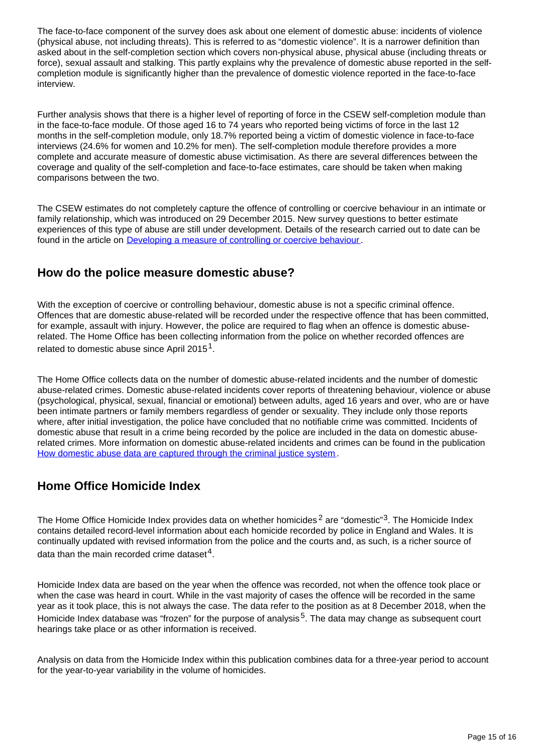The face-to-face component of the survey does ask about one element of domestic abuse: incidents of violence (physical abuse, not including threats). This is referred to as "domestic violence". It is a narrower definition than asked about in the self-completion section which covers non-physical abuse, physical abuse (including threats or force), sexual assault and stalking. This partly explains why the prevalence of domestic abuse reported in the selfcompletion module is significantly higher than the prevalence of domestic violence reported in the face-to-face interview.

Further analysis shows that there is a higher level of reporting of force in the CSEW self-completion module than in the face-to-face module. Of those aged 16 to 74 years who reported being victims of force in the last 12 months in the self-completion module, only 18.7% reported being a victim of domestic violence in face-to-face interviews (24.6% for women and 10.2% for men). The self-completion module therefore provides a more complete and accurate measure of domestic abuse victimisation. As there are several differences between the coverage and quality of the self-completion and face-to-face estimates, care should be taken when making comparisons between the two.

The CSEW estimates do not completely capture the offence of controlling or coercive behaviour in an intimate or family relationship, which was introduced on 29 December 2015. New survey questions to better estimate experiences of this type of abuse are still under development. Details of the research carried out to date can be found in the article on [Developing a measure of controlling or coercive behaviour.](https://www.ons.gov.uk/peoplepopulationandcommunity/crimeandjustice/articles/developingameasureofcontrollingorcoercivebehaviour/2019-04-18)

## **How do the police measure domestic abuse?**

With the exception of coercive or controlling behaviour, domestic abuse is not a specific criminal offence. Offences that are domestic abuse-related will be recorded under the respective offence that has been committed, for example, assault with injury. However, the police are required to flag when an offence is domestic abuserelated. The Home Office has been collecting information from the police on whether recorded offences are related to domestic abuse since April 2015 $^1$ .

The Home Office collects data on the number of domestic abuse-related incidents and the number of domestic abuse-related crimes. Domestic abuse-related incidents cover reports of threatening behaviour, violence or abuse (psychological, physical, sexual, financial or emotional) between adults, aged 16 years and over, who are or have been intimate partners or family members regardless of gender or sexuality. They include only those reports where, after initial investigation, the police have concluded that no notifiable crime was committed. Incidents of domestic abuse that result in a crime being recorded by the police are included in the data on domestic abuserelated crimes. More information on domestic abuse-related incidents and crimes can be found in the publication [How domestic abuse data are captured through the criminal justice system](https://www.ons.gov.uk/peoplepopulationandcommunity/crimeandjustice/articles/howdomesticabusedataarecapturedthroughthecriminaljusticesystem/2019-11-25) .

## **Home Office Homicide Index**

The Home Office Homicide Index provides data on whether homicides<sup>2</sup> are "domestic"<sup>3</sup>. The Homicide Index contains detailed record-level information about each homicide recorded by police in England and Wales. It is continually updated with revised information from the police and the courts and, as such, is a richer source of data than the main recorded crime dataset $^{\rm 4}$ .

Homicide Index data are based on the year when the offence was recorded, not when the offence took place or when the case was heard in court. While in the vast majority of cases the offence will be recorded in the same year as it took place, this is not always the case. The data refer to the position as at 8 December 2018, when the Homicide Index database was "frozen" for the purpose of analysis<sup>5</sup>. The data may change as subsequent court hearings take place or as other information is received.

Analysis on data from the Homicide Index within this publication combines data for a three-year period to account for the year-to-year variability in the volume of homicides.